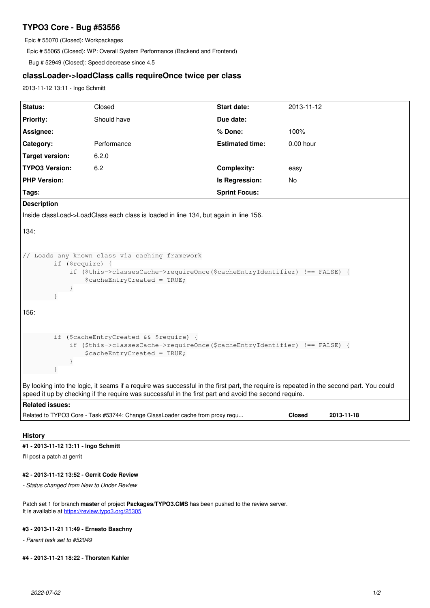# **TYPO3 Core - Bug #53556**

Epic # 55070 (Closed): Workpackages

Epic # 55065 (Closed): WP: Overall System Performance (Backend and Frontend)

Bug # 52949 (Closed): Speed decrease since 4.5

# **classLoader->loadClass calls requireOnce twice per class**

2013-11-12 13:11 - Ingo Schmitt

| Status:                                                                                                                                                                                                                                           | Closed      | Start date:            | 2013-11-12  |
|---------------------------------------------------------------------------------------------------------------------------------------------------------------------------------------------------------------------------------------------------|-------------|------------------------|-------------|
| <b>Priority:</b>                                                                                                                                                                                                                                  | Should have | Due date:              |             |
| Assignee:                                                                                                                                                                                                                                         |             | % Done:                | 100%        |
| Category:                                                                                                                                                                                                                                         | Performance | <b>Estimated time:</b> | $0.00$ hour |
| <b>Target version:</b>                                                                                                                                                                                                                            | 6.2.0       |                        |             |
| <b>TYPO3 Version:</b>                                                                                                                                                                                                                             | 6.2         | <b>Complexity:</b>     | easy        |
| <b>PHP Version:</b>                                                                                                                                                                                                                               |             | Is Regression:         | No          |
| Tags:                                                                                                                                                                                                                                             |             | <b>Sprint Focus:</b>   |             |
| <b>Description</b>                                                                                                                                                                                                                                |             |                        |             |
| Inside classLoad->LoadClass each class is loaded in line 134, but again in line 156.                                                                                                                                                              |             |                        |             |
| 134:                                                                                                                                                                                                                                              |             |                        |             |
| // Loads any known class via caching framework<br>if (\$require) {<br>if (\$this->classesCache->requireOnce(\$cacheEntryIdentifier) !== FALSE) {<br>\$cacheEntryCreated = TRUE;<br>$\mathcal{F}$                                                  |             |                        |             |
| 156:                                                                                                                                                                                                                                              |             |                        |             |
| if (\$cacheEntryCreated && \$require) {<br>if (\$this->classesCache->requireOnce(\$cacheEntryIdentifier) !== FALSE) {<br>$\text{ScacheEntropyCreate} = \text{TRUE}$<br>$\rightarrow$                                                              |             |                        |             |
| By looking into the logic, it seams if a require was successful in the first part, the require is repeated in the second part. You could<br>speed it up by checking if the require was successful in the first part and avoid the second require. |             |                        |             |
| <b>Related issues:</b>                                                                                                                                                                                                                            |             |                        |             |
| Related to TYPO3 Core - Task #53744: Change ClassLoader cache from proxy requ<br><b>Closed</b><br>2013-11-18                                                                                                                                      |             |                        |             |

#### **History**

#### **#1 - 2013-11-12 13:11 - Ingo Schmitt**

I'll post a patch at gerrit

#### **#2 - 2013-11-12 13:52 - Gerrit Code Review**

*- Status changed from New to Under Review*

Patch set 1 for branch **master** of project **Packages/TYPO3.CMS** has been pushed to the review server. It is available at <https://review.typo3.org/25305>

#### **#3 - 2013-11-21 11:49 - Ernesto Baschny**

*- Parent task set to #52949*

### **#4 - 2013-11-21 18:22 - Thorsten Kahler**